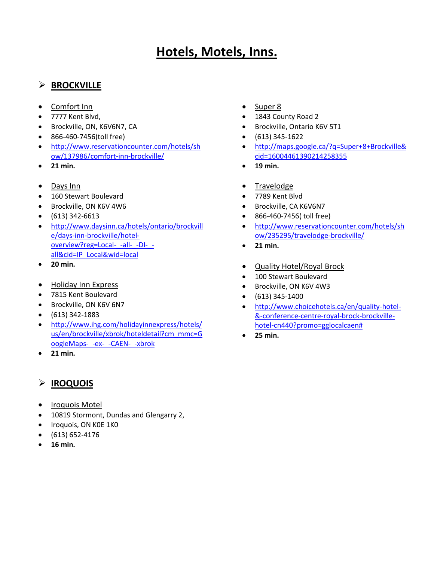# **Hotels, Motels, Inns.**

## **BROCKVILLE**

- Comfort Inn
- 7777 Kent Blvd,
- **Brockville, ON, K6V6N7, CA**
- 866-460-7456(toll free)
- [http://www.reservationcounter.com/hotels/sh](http://www.reservationcounter.com/hotels/show/137986/comfort-inn-brockville/) [ow/137986/comfort-inn-brockville/](http://www.reservationcounter.com/hotels/show/137986/comfort-inn-brockville/)
- **21 min.**
- Days Inn
- 160 Stewart Boulevard
- Brockville, ON K6V 4W6
- $\bullet$  (613) 342-6613
- [http://www.daysinn.ca/hotels/ontario/brockvill](http://www.daysinn.ca/hotels/ontario/brockville/days-inn-brockville/hotel-overview?reg=Local-_-all-_-DI-_-all&cid=IP_Local&wid=local) [e/days-inn-brockville/hotel](http://www.daysinn.ca/hotels/ontario/brockville/days-inn-brockville/hotel-overview?reg=Local-_-all-_-DI-_-all&cid=IP_Local&wid=local)[overview?reg=Local-\\_-all-\\_-DI-\\_](http://www.daysinn.ca/hotels/ontario/brockville/days-inn-brockville/hotel-overview?reg=Local-_-all-_-DI-_-all&cid=IP_Local&wid=local) [all&cid=IP\\_Local&wid=local](http://www.daysinn.ca/hotels/ontario/brockville/days-inn-brockville/hotel-overview?reg=Local-_-all-_-DI-_-all&cid=IP_Local&wid=local)
- **20 min.**
- Holiday Inn Express
- 7815 Kent Boulevard
- **Brockville, ON K6V 6N7**
- (613) 342-1883
- [http://www.ihg.com/holidayinnexpress/hotels/](http://www.ihg.com/holidayinnexpress/hotels/us/en/brockville/xbrok/hoteldetail?cm_mmc=GoogleMaps-_-ex-_-CAEN-_-xbrok) [us/en/brockville/xbrok/hoteldetail?cm\\_mmc=G](http://www.ihg.com/holidayinnexpress/hotels/us/en/brockville/xbrok/hoteldetail?cm_mmc=GoogleMaps-_-ex-_-CAEN-_-xbrok) [oogleMaps-\\_-ex-\\_-CAEN-\\_-xbrok](http://www.ihg.com/holidayinnexpress/hotels/us/en/brockville/xbrok/hoteldetail?cm_mmc=GoogleMaps-_-ex-_-CAEN-_-xbrok)
- **21 min.**

# **IROQUOIS**

- Iroquois Motel
- 10819 Stormont, Dundas and Glengarry 2,
- · Iroquois, ON KOE 1KO
- $\bullet$  (613) 652-4176
- **16 min.**
- Super 8
- 1843 County Road 2
- Brockville, Ontario K6V 5T1
- (613) 345-1622
- [http://maps.google.ca/?q=Super+8+Brockville&](http://maps.google.ca/?q=Super+8+Brockville&cid=16004461390214258355) [cid=16004461390214258355](http://maps.google.ca/?q=Super+8+Brockville&cid=16004461390214258355)
- **19 min.**
- Travelodge
- 7789 Kent Blvd
- Brockville, CA K6V6N7
- 866-460-7456( toll free)
- [http://www.reservationcounter.com/hotels/sh](http://www.reservationcounter.com/hotels/show/235295/travelodge-brockville/) [ow/235295/travelodge-brockville/](http://www.reservationcounter.com/hotels/show/235295/travelodge-brockville/)
- **21 min.**
- Quality Hotel/Royal Brock
- **.** 100 Stewart Boulevard
- Brockville, ON K6V 4W3
- $\bullet$  (613) 345-1400
- [http://www.choicehotels.ca/en/quality-hotel-](http://www.choicehotels.ca/en/quality-hotel-&-conference-centre-royal-brock-brockville-hotel-cn440?promo=gglocalcaen%23) [&-conference-centre-royal-brock-brockville](http://www.choicehotels.ca/en/quality-hotel-&-conference-centre-royal-brock-brockville-hotel-cn440?promo=gglocalcaen%23)[hotel-cn440?promo=gglocalcaen#](http://www.choicehotels.ca/en/quality-hotel-&-conference-centre-royal-brock-brockville-hotel-cn440?promo=gglocalcaen%23)
- **25 min.**